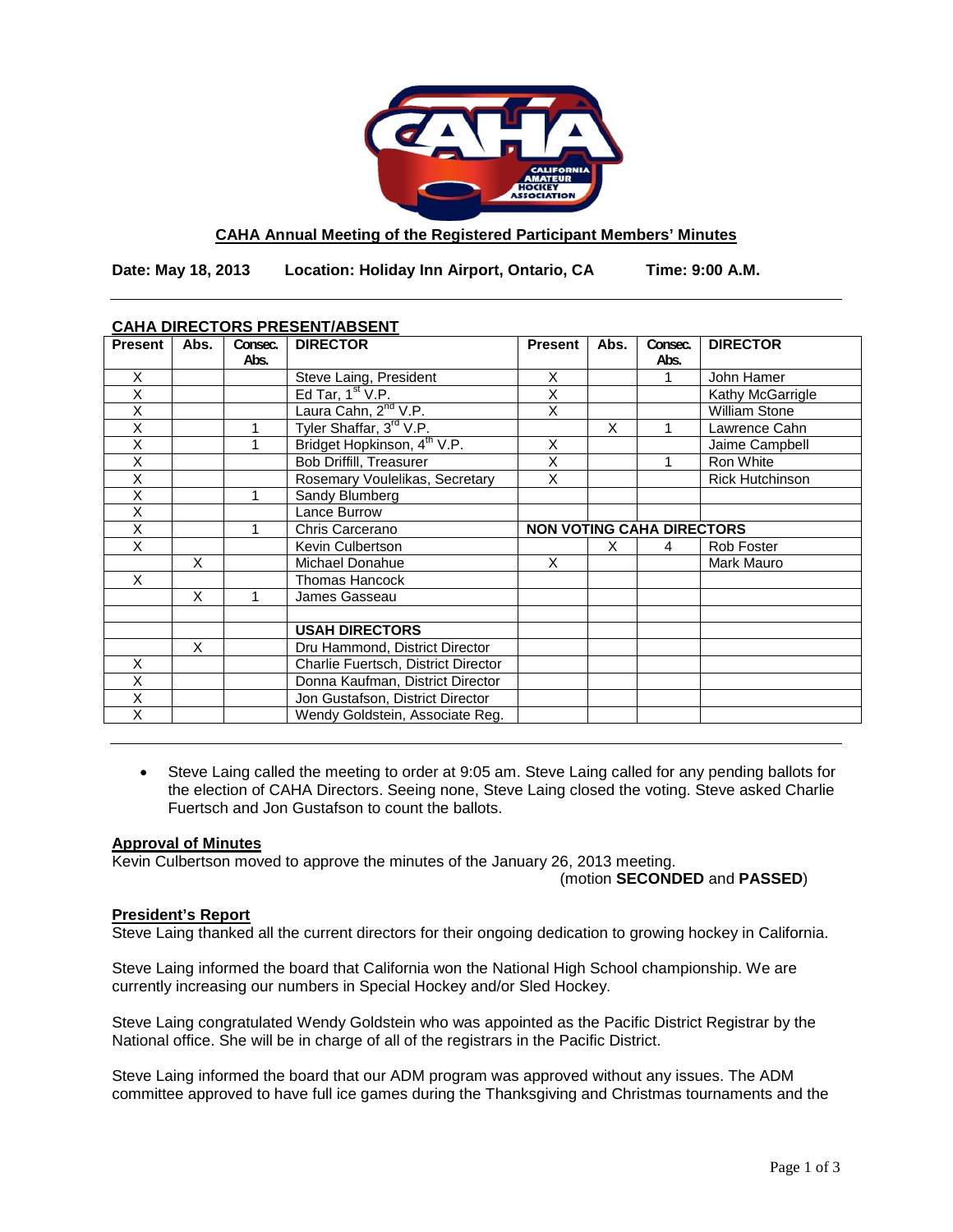

# **CAHA Annual Meeting of the Registered Participant Members' Minutes**

**Date: May 18, 2013 Location: Holiday Inn Airport, Ontario, CA Time: 9:00 A.M.**

| <b>Present</b> | Abs. | Consec.<br>Abs. | <b>DIRECTOR</b>                         | <b>Present</b>                   | Abs. | Consec.<br>Abs. | <b>DIRECTOR</b>        |
|----------------|------|-----------------|-----------------------------------------|----------------------------------|------|-----------------|------------------------|
| X              |      |                 | Steve Laing, President                  | X                                |      |                 | John Hamer             |
| X              |      |                 | Ed Tar, $1st V.P.$                      | X                                |      |                 | Kathy McGarrigle       |
| X              |      |                 | Laura Cahn, 2 <sup>nd</sup> V.P.        | X                                |      |                 | <b>William Stone</b>   |
| X              |      |                 | Tyler Shaffar, 3 <sup>rd</sup> V.P.     |                                  | X    |                 | Lawrence Cahn          |
| X              |      | 1               | Bridget Hopkinson, 4 <sup>th</sup> V.P. | X                                |      |                 | Jaime Campbell         |
| Χ              |      |                 | <b>Bob Driffill, Treasurer</b>          | X                                |      |                 | Ron White              |
| Χ              |      |                 | Rosemary Voulelikas, Secretary          | $\overline{\mathsf{x}}$          |      |                 | <b>Rick Hutchinson</b> |
| X              |      |                 | Sandy Blumberg                          |                                  |      |                 |                        |
| X              |      |                 | Lance Burrow                            |                                  |      |                 |                        |
| X              |      | 1               | Chris Carcerano                         | <b>NON VOTING CAHA DIRECTORS</b> |      |                 |                        |
| X              |      |                 | Kevin Culbertson                        |                                  | X    | 4               | Rob Foster             |
|                | X    |                 | Michael Donahue                         | X                                |      |                 | Mark Mauro             |
| X              |      |                 | Thomas Hancock                          |                                  |      |                 |                        |
|                | X    |                 | James Gasseau                           |                                  |      |                 |                        |
|                |      |                 |                                         |                                  |      |                 |                        |
|                |      |                 | <b>USAH DIRECTORS</b>                   |                                  |      |                 |                        |
|                | X    |                 | Dru Hammond, District Director          |                                  |      |                 |                        |
| Χ              |      |                 | Charlie Fuertsch, District Director     |                                  |      |                 |                        |
| Χ              |      |                 | Donna Kaufman, District Director        |                                  |      |                 |                        |
| X              |      |                 | Jon Gustafson, District Director        |                                  |      |                 |                        |
| X              |      |                 | Wendy Goldstein, Associate Reg.         |                                  |      |                 |                        |

# **CAHA DIRECTORS PRESENT/ABSENT**

• Steve Laing called the meeting to order at 9:05 am. Steve Laing called for any pending ballots for the election of CAHA Directors. Seeing none, Steve Laing closed the voting. Steve asked Charlie Fuertsch and Jon Gustafson to count the ballots.

## **Approval of Minutes**

Kevin Culbertson moved to approve the minutes of the January 26, 2013 meeting.

(motion **SECONDED** and **PASSED**)

# **President's Report**

Steve Laing thanked all the current directors for their ongoing dedication to growing hockey in California.

Steve Laing informed the board that California won the National High School championship. We are currently increasing our numbers in Special Hockey and/or Sled Hockey.

Steve Laing congratulated Wendy Goldstein who was appointed as the Pacific District Registrar by the National office. She will be in charge of all of the registrars in the Pacific District.

Steve Laing informed the board that our ADM program was approved without any issues. The ADM committee approved to have full ice games during the Thanksgiving and Christmas tournaments and the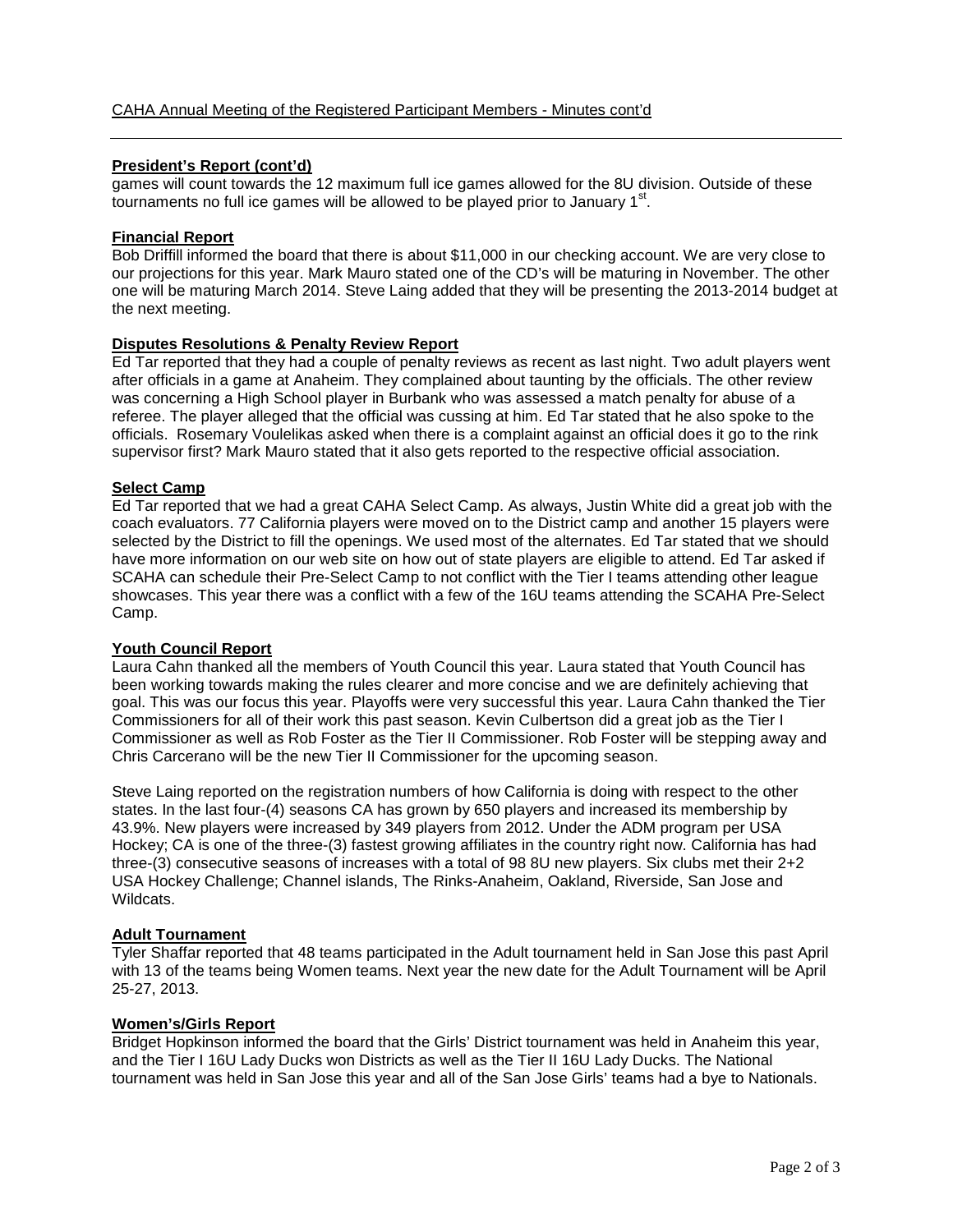## **President's Report (cont'd)**

games will count towards the 12 maximum full ice games allowed for the 8U division. Outside of these tournaments no full ice games will be allowed to be played prior to January  $1<sup>st</sup>$ .

#### **Financial Report**

Bob Driffill informed the board that there is about \$11,000 in our checking account. We are very close to our projections for this year. Mark Mauro stated one of the CD's will be maturing in November. The other one will be maturing March 2014. Steve Laing added that they will be presenting the 2013-2014 budget at the next meeting.

## **Disputes Resolutions & Penalty Review Report**

Ed Tar reported that they had a couple of penalty reviews as recent as last night. Two adult players went after officials in a game at Anaheim. They complained about taunting by the officials. The other review was concerning a High School player in Burbank who was assessed a match penalty for abuse of a referee. The player alleged that the official was cussing at him. Ed Tar stated that he also spoke to the officials. Rosemary Voulelikas asked when there is a complaint against an official does it go to the rink supervisor first? Mark Mauro stated that it also gets reported to the respective official association.

## **Select Camp**

Ed Tar reported that we had a great CAHA Select Camp. As always, Justin White did a great job with the coach evaluators. 77 California players were moved on to the District camp and another 15 players were selected by the District to fill the openings. We used most of the alternates. Ed Tar stated that we should have more information on our web site on how out of state players are eligible to attend. Ed Tar asked if SCAHA can schedule their Pre-Select Camp to not conflict with the Tier I teams attending other league showcases. This year there was a conflict with a few of the 16U teams attending the SCAHA Pre-Select Camp.

#### **Youth Council Report**

Laura Cahn thanked all the members of Youth Council this year. Laura stated that Youth Council has been working towards making the rules clearer and more concise and we are definitely achieving that goal. This was our focus this year. Playoffs were very successful this year. Laura Cahn thanked the Tier Commissioners for all of their work this past season. Kevin Culbertson did a great job as the Tier I Commissioner as well as Rob Foster as the Tier II Commissioner. Rob Foster will be stepping away and Chris Carcerano will be the new Tier II Commissioner for the upcoming season.

Steve Laing reported on the registration numbers of how California is doing with respect to the other states. In the last four-(4) seasons CA has grown by 650 players and increased its membership by 43.9%. New players were increased by 349 players from 2012. Under the ADM program per USA Hockey; CA is one of the three-(3) fastest growing affiliates in the country right now. California has had three-(3) consecutive seasons of increases with a total of 98 8U new players. Six clubs met their 2+2 USA Hockey Challenge; Channel islands, The Rinks-Anaheim, Oakland, Riverside, San Jose and Wildcats.

#### **Adult Tournament**

Tyler Shaffar reported that 48 teams participated in the Adult tournament held in San Jose this past April with 13 of the teams being Women teams. Next year the new date for the Adult Tournament will be April 25-27, 2013.

#### **Women's/Girls Report**

Bridget Hopkinson informed the board that the Girls' District tournament was held in Anaheim this year, and the Tier I 16U Lady Ducks won Districts as well as the Tier II 16U Lady Ducks. The National tournament was held in San Jose this year and all of the San Jose Girls' teams had a bye to Nationals.